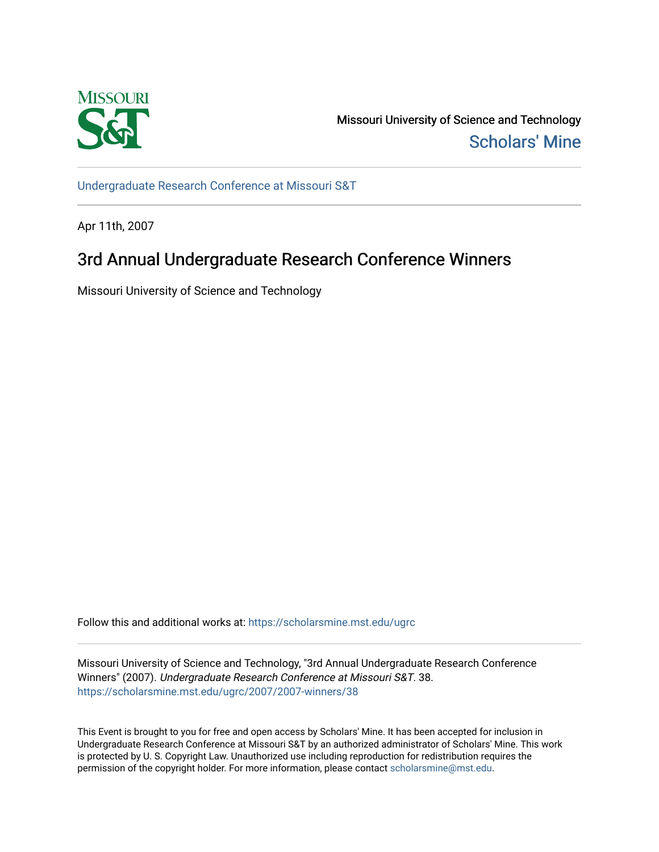

Missouri University of Science and Technology [Scholars' Mine](https://scholarsmine.mst.edu/) 

[Undergraduate Research Conference at Missouri S&T](https://scholarsmine.mst.edu/ugrc)

Apr 11th, 2007

# 3rd Annual Undergraduate Research Conference Winners

Missouri University of Science and Technology

Follow this and additional works at: [https://scholarsmine.mst.edu/ugrc](https://scholarsmine.mst.edu/ugrc?utm_source=scholarsmine.mst.edu%2Fugrc%2F2007%2F2007-winners%2F38&utm_medium=PDF&utm_campaign=PDFCoverPages) 

Missouri University of Science and Technology, "3rd Annual Undergraduate Research Conference Winners" (2007). Undergraduate Research Conference at Missouri S&T. 38. [https://scholarsmine.mst.edu/ugrc/2007/2007-winners/38](https://scholarsmine.mst.edu/ugrc/2007/2007-winners/38?utm_source=scholarsmine.mst.edu%2Fugrc%2F2007%2F2007-winners%2F38&utm_medium=PDF&utm_campaign=PDFCoverPages)

This Event is brought to you for free and open access by Scholars' Mine. It has been accepted for inclusion in Undergraduate Research Conference at Missouri S&T by an authorized administrator of Scholars' Mine. This work is protected by U. S. Copyright Law. Unauthorized use including reproduction for redistribution requires the permission of the copyright holder. For more information, please contact [scholarsmine@mst.edu](mailto:scholarsmine@mst.edu).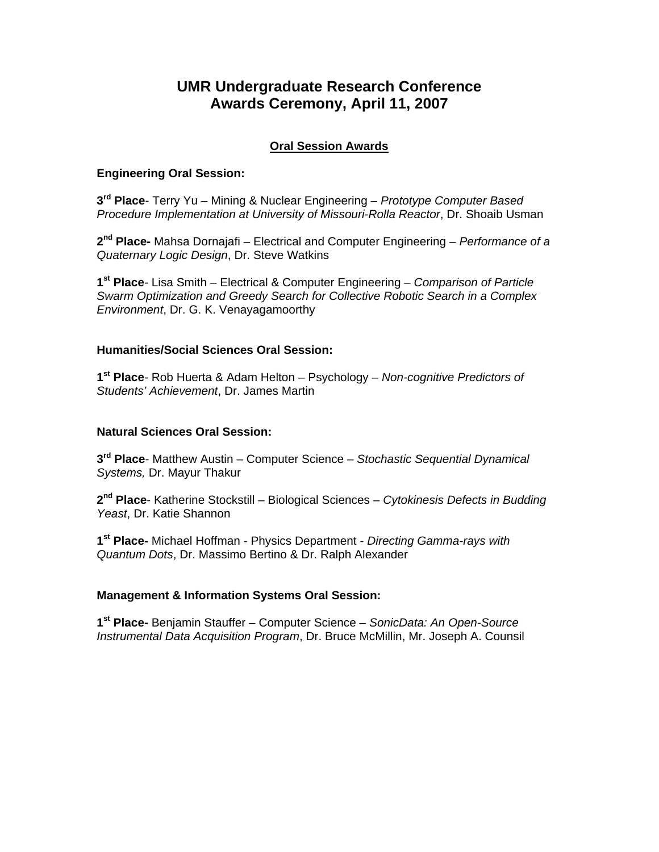# **UMR Undergraduate Research Conference Awards Ceremony, April 11, 2007**

# **Oral Session Awards**

# **Engineering Oral Session:**

**3rd Place**- Terry Yu – Mining & Nuclear Engineering – *Prototype Computer Based Procedure Implementation at University of Missouri-Rolla Reactor*, Dr. Shoaib Usman

**2nd Place-** Mahsa Dornajafi – Electrical and Computer Engineering – *Performance of a Quaternary Logic Design*, Dr. Steve Watkins

**1st Place**- Lisa Smith – Electrical & Computer Engineering – *Comparison of Particle Swarm Optimization and Greedy Search for Collective Robotic Search in a Complex Environment*, Dr. G. K. Venayagamoorthy

#### **Humanities/Social Sciences Oral Session:**

**1st Place**- Rob Huerta & Adam Helton – Psychology – *Non-cognitive Predictors of Students' Achievement*, Dr. James Martin

## **Natural Sciences Oral Session:**

**3rd Place**- Matthew Austin – Computer Science – *Stochastic Sequential Dynamical Systems,* Dr. Mayur Thakur

**2nd Place**- Katherine Stockstill – Biological Sciences – *Cytokinesis Defects in Budding Yeast*, Dr. Katie Shannon

**1st Place-** Michael Hoffman - Physics Department - *Directing Gamma-rays with Quantum Dots*, Dr. Massimo Bertino & Dr. Ralph Alexander

#### **Management & Information Systems Oral Session:**

**1st Place-** Benjamin Stauffer – Computer Science – *SonicData: An Open-Source Instrumental Data Acquisition Program*, Dr. Bruce McMillin, Mr. Joseph A. Counsil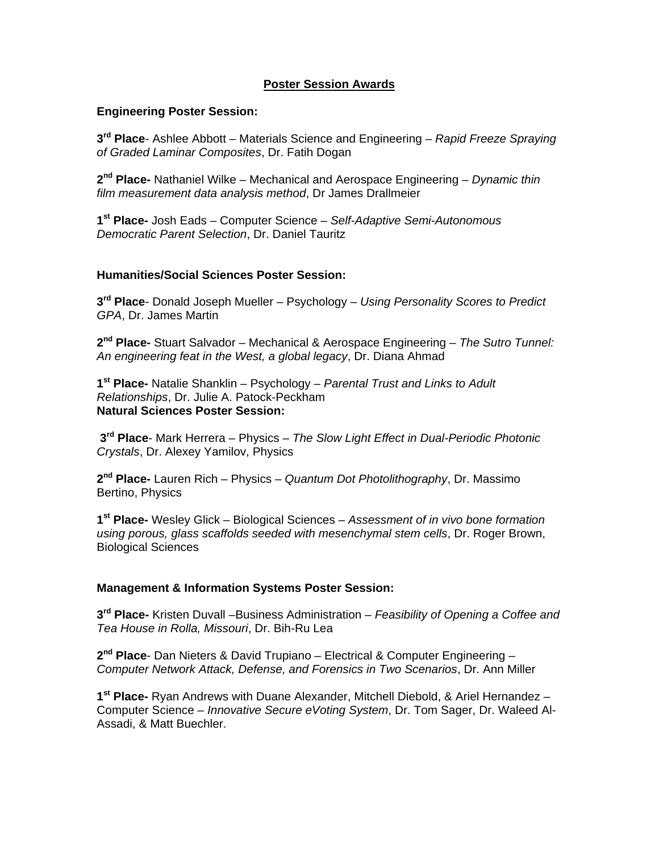## **Poster Session Awards**

#### **Engineering Poster Session:**

**3rd Place**- Ashlee Abbott – Materials Science and Engineering – *Rapid Freeze Spraying of Graded Laminar Composites*, Dr. Fatih Dogan

**2nd Place-** Nathaniel Wilke – Mechanical and Aerospace Engineering *– Dynamic thin film measurement data analysis method*, Dr James Drallmeier

**1st Place-** Josh Eads – Computer Science – *Self-Adaptive Semi-Autonomous Democratic Parent Selection*, Dr. Daniel Tauritz

#### **Humanities/Social Sciences Poster Session:**

**3rd Place**- Donald Joseph Mueller – Psychology – *Using Personality Scores to Predict GPA*, Dr. James Martin

**2nd Place-** Stuart Salvador – Mechanical & Aerospace Engineering – *The Sutro Tunnel: An engineering feat in the West, a global legacy*, Dr. Diana Ahmad

**1st Place-** Natalie Shanklin – Psychology – *Parental Trust and Links to Adult Relationships*, Dr. Julie A. Patock-Peckham **Natural Sciences Poster Session:** 

**3rd Place**- Mark Herrera – Physics – *The Slow Light Effect in Dual-Periodic Photonic Crystals*, Dr. Alexey Yamilov, Physics

**2nd Place-** Lauren Rich – Physics – *Quantum Dot Photolithography*, Dr. Massimo Bertino, Physics

**1st Place-** Wesley Glick – Biological Sciences – *Assessment of in vivo bone formation using porous, glass scaffolds seeded with mesenchymal stem cells*, Dr. Roger Brown, Biological Sciences

#### **Management & Information Systems Poster Session:**

**3rd Place-** Kristen Duvall –Business Administration – *Feasibility of Opening a Coffee and Tea House in Rolla, Missouri*, Dr. Bih-Ru Lea

**2nd Place**- Dan Nieters & David Trupiano – Electrical & Computer Engineering – *Computer Network Attack, Defense, and Forensics in Two Scenarios*, Dr. Ann Miller

**1st Place-** Ryan Andrews with Duane Alexander, Mitchell Diebold, & Ariel Hernandez – Computer Science – *Innovative Secure eVoting System*, Dr. Tom Sager, Dr. Waleed Al-Assadi, & Matt Buechler.